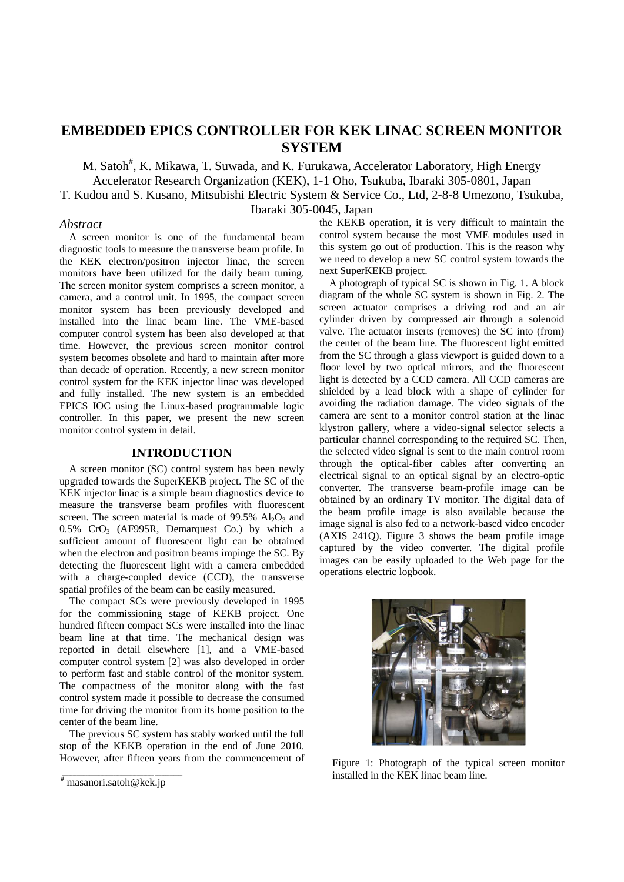# **EMBEDDED EPICS CONTROLLER FOR KEK LINAC SCREEN MONITOR SYSTEM**

M. Satoh<sup>#</sup>, K. Mikawa, T. Suwada, and K. Furukawa, Accelerator Laboratory, High Energy Accelerator Research Organization (KEK), 1-1 Oho, Tsukuba, Ibaraki 305-0801, Japan

T. Kudou and S. Kusano, Mitsubishi Electric System & Service Co., Ltd, 2-8-8 Umezono, Tsukuba, Ibaraki 305-0045, Japan

#### *Abstract*

A screen monitor is one of the fundamental beam diagnostic tools to measure the transverse beam profile. In the KEK electron/positron injector linac, the screen monitors have been utilized for the daily beam tuning. The screen monitor system comprises a screen monitor, a camera, and a control unit. In 1995, the compact screen monitor system has been previously developed and installed into the linac beam line. The VME-based computer control system has been also developed at that time. However, the previous screen monitor control system becomes obsolete and hard to maintain after more than decade of operation. Recently, a new screen monitor control system for the KEK injector linac was developed and fully installed. The new system is an embedded EPICS IOC using the Linux-based programmable logic controller. In this paper, we present the new screen monitor control system in detail.

#### **INTRODUCTION**

A screen monitor (SC) control system has been newly upgraded towards the SuperKEKB project. The SC of the KEK injector linac is a simple beam diagnostics device to measure the transverse beam profiles with fluorescent screen. The screen material is made of  $99.5\%$  Al<sub>2</sub>O<sub>3</sub> and  $0.5\%$  CrO<sub>3</sub> (AF995R, Demarquest Co.) by which a sufficient amount of fluorescent light can be obtained when the electron and positron beams impinge the SC. By detecting the fluorescent light with a camera embedded with a charge-coupled device (CCD), the transverse spatial profiles of the beam can be easily measured.

The compact SCs were previously developed in 1995 for the commissioning stage of KEKB project. One hundred fifteen compact SCs were installed into the linac beam line at that time. The mechanical design was reported in detail elsewhere [1], and a VME-based computer control system [2] was also developed in order to perform fast and stable control of the monitor system. The compactness of the monitor along with the fast control system made it possible to decrease the consumed time for driving the monitor from its home position to the center of the beam line.

The previous SC system has stably worked until the full stop of the KEKB operation in the end of June 2010. However, after fifteen years from the commencement of the KEKB operation, it is very difficult to maintain the control system because the most VME modules used in this system go out of production. This is the reason why we need to develop a new SC control system towards the next SuperKEKB project.

A photograph of typical SC is shown in Fig. 1. A block diagram of the whole SC system is shown in Fig. 2. The screen actuator comprises a driving rod and an air cylinder driven by compressed air through a solenoid valve. The actuator inserts (removes) the SC into (from) the center of the beam line. The fluorescent light emitted from the SC through a glass viewport is guided down to a floor level by two optical mirrors, and the fluorescent light is detected by a CCD camera. All CCD cameras are shielded by a lead block with a shape of cylinder for avoiding the radiation damage. The video signals of the camera are sent to a monitor control station at the linac klystron gallery, where a video-signal selector selects a particular channel corresponding to the required SC. Then, the selected video signal is sent to the main control room through the optical-fiber cables after converting an electrical signal to an optical signal by an electro-optic converter. The transverse beam-profile image can be obtained by an ordinary TV monitor. The digital data of the beam profile image is also available because the image signal is also fed to a network-based video encoder (AXIS 241Q). Figure 3 shows the beam profile image captured by the video converter. The digital profile images can be easily uploaded to the Web page for the operations electric logbook.



Figure 1: Photograph of the typical screen monitor installed in the KEK linac beam line.

<sup>#</sup> masanori.satoh@kek.jp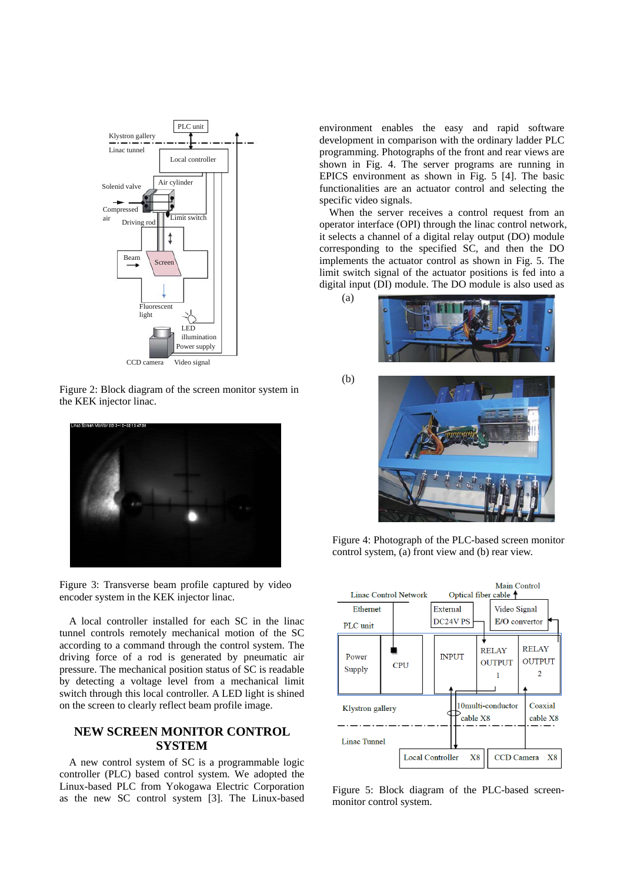

CCD camera Video signal

Figure 2: Block diagram of the screen monitor system in the KEK injector linac.



Figure 3: Transverse beam profile captured by video encoder system in the KEK injector linac.

A local controller installed for each SC in the linac tunnel controls remotely mechanical motion of the SC according to a command through the control system. The driving force of a rod is generated by pneumatic air pressure. The mechanical position status of SC is readable by detecting a voltage level from a mechanical limit switch through this local controller. A LED light is shined on the screen to clearly reflect beam profile image.

### **NEW SCREEN MONITOR CONTROL SYSTEM**

A new control system of SC is a programmable logic controller (PLC) based control system. We adopted the Linux-based PLC from Yokogawa Electric Corporation as the new SC control system [3]. The Linux-based environment enables the easy and rapid software development in comparison with the ordinary ladder PLC programming. Photographs of the front and rear views are shown in Fig. 4. The server programs are running in EPICS environment as shown in Fig. 5 [4]. The basic functionalities are an actuator control and selecting the specific video signals.

When the server receives a control request from an operator interface (OPI) through the linac control network, it selects a channel of a digital relay output (DO) module corresponding to the specified SC, and then the DO implements the actuator control as shown in Fig. 5. The limit switch signal of the actuator positions is fed into a digital input (DI) module. The DO module is also used as



(b)

(a)



Figure 4: Photograph of the PLC-based screen monitor control system, (a) front view and (b) rear view.



Figure 5: Block diagram of the PLC-based screenmonitor control system.